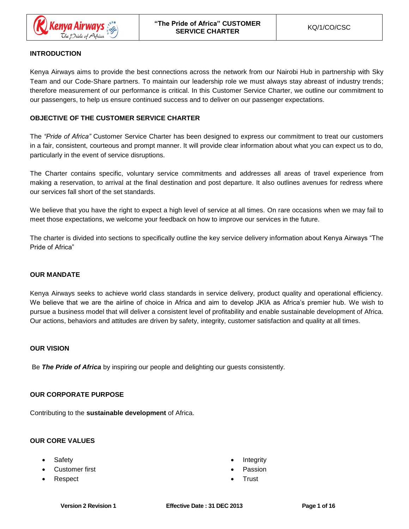

# **INTRODUCTION**

Kenya Airways aims to provide the best connections across the network from our Nairobi Hub in partnership with Sky Team and our Code-Share partners. To maintain our leadership role we must always stay abreast of industry trends; therefore measurement of our performance is critical. In this Customer Service Charter, we outline our commitment to our passengers, to help us ensure continued success and to deliver on our passenger expectations.

# **OBJECTIVE OF THE CUSTOMER SERVICE CHARTER**

The *"Pride of Africa"* Customer Service Charter has been designed to express our commitment to treat our customers in a fair, consistent, courteous and prompt manner. It will provide clear information about what you can expect us to do, particularly in the event of service disruptions.

The Charter contains specific, voluntary service commitments and addresses all areas of travel experience from making a reservation, to arrival at the final destination and post departure. It also outlines avenues for redress where our services fall short of the set standards.

We believe that you have the right to expect a high level of service at all times. On rare occasions when we may fail to meet those expectations, we welcome your feedback on how to improve our services in the future.

The charter is divided into sections to specifically outline the key service delivery information about Kenya Airways "The Pride of Africa"

# **OUR MANDATE**

Kenya Airways seeks to achieve world class standards in service delivery, product quality and operational efficiency. We believe that we are the airline of choice in Africa and aim to develop JKIA as Africa's premier hub. We wish to pursue a business model that will deliver a consistent level of profitability and enable sustainable development of Africa. Our actions, behaviors and attitudes are driven by safety, integrity, customer satisfaction and quality at all times.

# **OUR VISION**

Be *The Pride of Africa* by inspiring our people and delighting our guests consistently.

# **OUR CORPORATE PURPOSE**

Contributing to the **sustainable development** of Africa.

# **OUR CORE VALUES**

- **Safety**
- Customer first
- Respect
- **Integrity**
- **Passion**
- Trust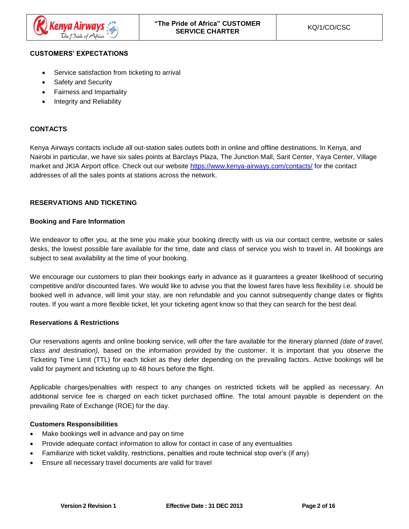

## **CUSTOMERS' EXPECTATIONS**

- Service satisfaction from ticketing to arrival
- Safety and Security
- Fairness and Impartiality
- Integrity and Reliability

# **CONTACTS**

Kenya Airways contacts include all out-station sales outlets both in online and offline destinations. In Kenya, and Nairobi in particular, we have six sales points at Barclays Plaza, The Junction Mall, Sarit Center, Yaya Center, Village market and JKIA Airport office. Check out our website <https://www.kenya-airways.com/contacts/> for the contact addresses of all the sales points at stations across the network.

#### **RESERVATIONS AND TICKETING**

#### **Booking and Fare Information**

We endeavor to offer you, at the time you make your booking directly with us via our contact centre, website or sales desks, the lowest possible fare available for the time, date and class of service you wish to travel in. All bookings are subject to seat availability at the time of your booking.

We encourage our customers to plan their bookings early in advance as it guarantees a greater likelihood of securing competitive and/or discounted fares. We would like to advise you that the lowest fares have less flexibility i.e. should be booked well in advance, will limit your stay, are non refundable and you cannot subsequently change dates or flights routes. If you want a more flexible ticket, let your ticketing agent know so that they can search for the best deal.

#### **Reservations & Restrictions**

Our reservations agents and online booking service, will offer the fare available for the itinerary planned *(date of travel, class and destination),* based on the information provided by the customer. It is important that you observe the Ticketing Time Limit (TTL) for each ticket as they defer depending on the prevailing factors. Active bookings will be valid for payment and ticketing up to 48 hours before the flight.

Applicable charges/penalties with respect to any changes on restricted tickets will be applied as necessary. An additional service fee is charged on each ticket purchased offline. The total amount payable is dependent on the prevailing Rate of Exchange (ROE) for the day.

#### **Customers Responsibilities**

- Make bookings well in advance and pay on time
- Provide adequate contact information to allow for contact in case of any eventualities
- Familiarize with ticket validity, restrictions, penalties and route technical stop over's (if any)
- Ensure all necessary travel documents are valid for travel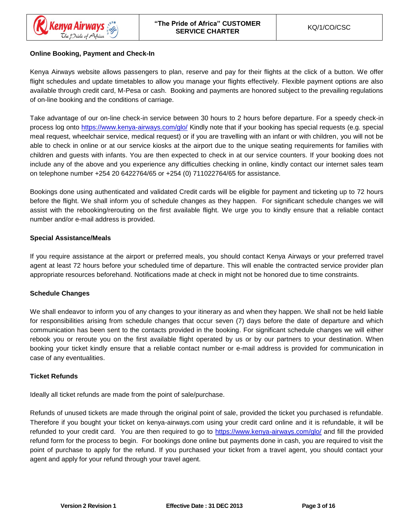# **Online Booking, Payment and Check-In**

Kenya Airways website allows passengers to plan, reserve and pay for their flights at the click of a button. We offer flight schedules and update timetables to allow you manage your flights effectively. Flexible payment options are also available through credit card, M-Pesa or cash. Booking and payments are honored subject to the prevailing regulations of on-line booking and the conditions of carriage.

Take advantage of our on-line check-in service between 30 hours to 2 hours before departure. For a speedy check-in process log onto<https://www.kenya-airways.com/glo/> Kindly note that if your booking has special requests (e.g. special meal request, wheelchair service, medical request) or if you are travelling with an infant or with children, you will not be able to check in online or at our service kiosks at the airport due to the unique seating requirements for families with children and guests with infants. You are then expected to check in at our service counters. If your booking does not include any of the above and you experience any difficulties checking in online, kindly contact our internet sales team on telephone number +254 20 6422764/65 or +254 (0) 711022764/65 for assistance.

Bookings done using authenticated and validated Credit cards will be eligible for payment and ticketing up to 72 hours before the flight. We shall inform you of schedule changes as they happen. For significant schedule changes we will assist with the rebooking/rerouting on the first available flight. We urge you to kindly ensure that a reliable contact number and/or e-mail address is provided.

## **Special Assistance/Meals**

If you require assistance at the airport or preferred meals, you should contact Kenya Airways or your preferred travel agent at least 72 hours before your scheduled time of departure. This will enable the contracted service provider plan appropriate resources beforehand. Notifications made at check in might not be honored due to time constraints.

#### **Schedule Changes**

We shall endeavor to inform you of any changes to your itinerary as and when they happen. We shall not be held liable for responsibilities arising from schedule changes that occur seven (7) days before the date of departure and which communication has been sent to the contacts provided in the booking. For significant schedule changes we will either rebook you or reroute you on the first available flight operated by us or by our partners to your destination. When booking your ticket kindly ensure that a reliable contact number or e-mail address is provided for communication in case of any eventualities.

# **Ticket Refunds**

Ideally all ticket refunds are made from the point of sale/purchase.

Refunds of unused tickets are made through the original point of sale, provided the ticket you purchased is refundable. Therefore if you bought your ticket on kenya-airways.com using your credit card online and it is refundable, it will be refunded to your credit card. You are then required to go to<https://www.kenya-airways.com/glo/> and fill the provided refund form for the process to begin. For bookings done online but payments done in cash, you are required to visit the point of purchase to apply for the refund. If you purchased your ticket from a travel agent, you should contact your agent and apply for your refund through your travel agent.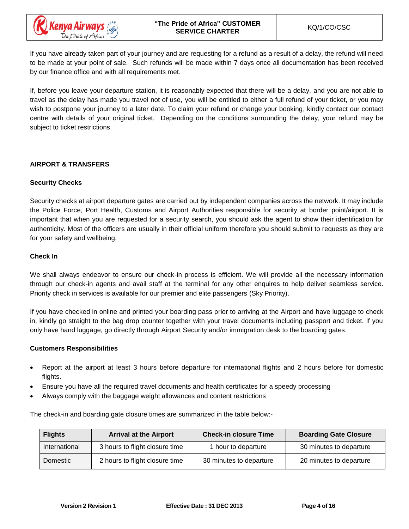

If you have already taken part of your journey and are requesting for a refund as a result of a delay, the refund will need to be made at your point of sale. Such refunds will be made within 7 days once all documentation has been received by our finance office and with all requirements met.

If, before you leave your departure station, it is reasonably expected that there will be a delay, and you are not able to travel as the delay has made you travel not of use, you will be entitled to either a full refund of your ticket, or you may wish to postpone your journey to a later date. To claim your refund or change your booking, kindly contact our contact centre with details of your original ticket. Depending on the conditions surrounding the delay, your refund may be subject to ticket restrictions.

## **AIRPORT & TRANSFERS**

## **Security Checks**

Security checks at airport departure gates are carried out by independent companies across the network. It may include the Police Force, Port Health, Customs and Airport Authorities responsible for security at border point/airport. It is important that when you are requested for a security search, you should ask the agent to show their identification for authenticity. Most of the officers are usually in their official uniform therefore you should submit to requests as they are for your safety and wellbeing.

#### **Check In**

We shall always endeavor to ensure our check-in process is efficient. We will provide all the necessary information through our check-in agents and avail staff at the terminal for any other enquires to help deliver seamless service. Priority check in services is available for our premier and elite passengers (Sky Priority).

If you have checked in online and printed your boarding pass prior to arriving at the Airport and have luggage to check in, kindly go straight to the bag drop counter together with your travel documents including passport and ticket. If you only have hand luggage, go directly through Airport Security and/or immigration desk to the boarding gates.

#### **Customers Responsibilities**

- Report at the airport at least 3 hours before departure for international flights and 2 hours before for domestic flights.
- Ensure you have all the required travel documents and health certificates for a speedy processing
- Always comply with the baggage weight allowances and content restrictions

The check-in and boarding gate closure times are summarized in the table below:-

| <b>Flights</b> | <b>Arrival at the Airport</b>  | <b>Check-in closure Time</b> | <b>Boarding Gate Closure</b> |
|----------------|--------------------------------|------------------------------|------------------------------|
| International  | 3 hours to flight closure time | 1 hour to departure          | 30 minutes to departure      |
| Domestic       | 2 hours to flight closure time | 30 minutes to departure      | 20 minutes to departure      |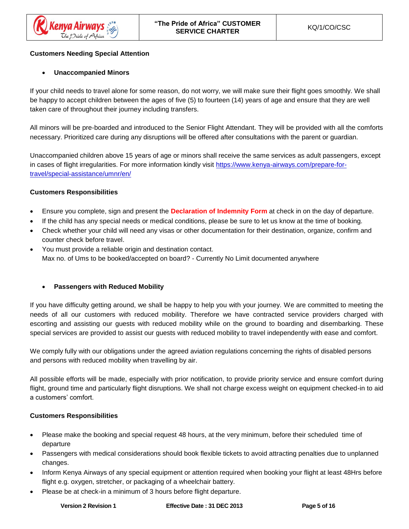# **Customers Needing Special Attention**

# • **Unaccompanied Minors**

If your child needs to travel alone for some reason, do not worry, we will make sure their flight goes smoothly. We shall be happy to accept children between the ages of five (5) to fourteen (14) years of age and ensure that they are well taken care of throughout their journey including transfers.

All minors will be pre-boarded and introduced to the Senior Flight Attendant. They will be provided with all the comforts necessary. Prioritized care during any disruptions will be offered after consultations with the parent or guardian.

Unaccompanied children above 15 years of age or minors shall receive the same services as adult passengers, except in cases of flight irregularities. For more information kindly visit [https://www.kenya-airways.com/prepare-for](https://www.kenya-airways.com/prepare-for-travel/special-assistance/umnr/en/)[travel/special-assistance/umnr/en/](https://www.kenya-airways.com/prepare-for-travel/special-assistance/umnr/en/)

# **Customers Responsibilities**

- Ensure you complete, sign and present the **Declaration of Indemnity Form** at check in on the day of departure.
- If the child has any special needs or medical conditions, please be sure to let us know at the time of booking.
- Check whether your child will need any visas or other documentation for their destination, organize, confirm and counter check before travel.
- You must provide a reliable origin and destination contact. Max no. of Ums to be booked/accepted on board? - Currently No Limit documented anywhere

# • **Passengers with Reduced Mobility**

If you have difficulty getting around, we shall be happy to help you with your journey. We are committed to meeting the needs of all our customers with reduced mobility. Therefore we have contracted service providers charged with escorting and assisting our guests with reduced mobility while on the ground to boarding and disembarking. These special services are provided to assist our guests with reduced mobility to travel independently with ease and comfort.

We comply fully with our obligations under the agreed aviation regulations concerning the rights of disabled persons and persons with reduced mobility when travelling by air.

All possible efforts will be made, especially with prior notification, to provide priority service and ensure comfort during flight, ground time and particularly flight disruptions. We shall not charge excess weight on equipment checked-in to aid a customers' comfort.

# **Customers Responsibilities**

- Please make the booking and special request 48 hours, at the very minimum, before their scheduled time of departure
- Passengers with medical considerations should book flexible tickets to avoid attracting penalties due to unplanned changes.
- Inform Kenya Airways of any special equipment or attention required when booking your flight at least 48Hrs before flight e.g. oxygen, stretcher, or packaging of a wheelchair battery.
- Please be at check-in a minimum of 3 hours before flight departure.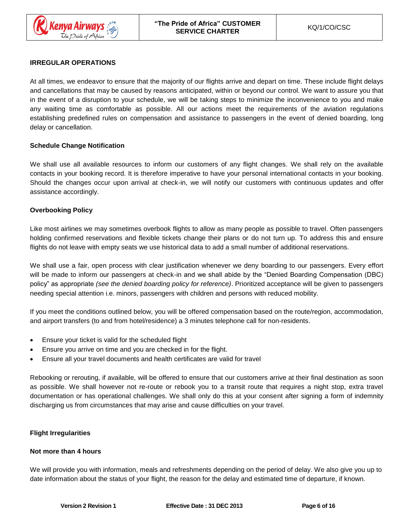# **IRREGULAR OPERATIONS**

At all times, we endeavor to ensure that the majority of our flights arrive and depart on time. These include flight delays and cancellations that may be caused by reasons anticipated, within or beyond our control. We want to assure you that in the event of a disruption to your schedule, we will be taking steps to minimize the inconvenience to you and make any waiting time as comfortable as possible. All our actions meet the requirements of the aviation regulations establishing predefined rules on compensation and assistance to passengers in the event of denied boarding, long delay or cancellation.

## **Schedule Change Notification**

We shall use all available resources to inform our customers of any flight changes. We shall rely on the available contacts in your booking record. It is therefore imperative to have your personal international contacts in your booking. Should the changes occur upon arrival at check-in, we will notify our customers with continuous updates and offer assistance accordingly.

## **Overbooking Policy**

Like most airlines we may sometimes overbook flights to allow as many people as possible to travel. Often passengers holding confirmed reservations and flexible tickets change their plans or do not turn up. To address this and ensure flights do not leave with empty seats we use historical data to add a small number of additional reservations.

We shall use a fair, open process with clear justification whenever we deny boarding to our passengers. Every effort will be made to inform our passengers at check-in and we shall abide by the "Denied Boarding Compensation (DBC) policy" as appropriate *(see the denied boarding policy for reference)*. Prioritized acceptance will be given to passengers needing special attention i.e. minors, passengers with children and persons with reduced mobility.

If you meet the conditions outlined below, you will be offered compensation based on the route/region, accommodation, and airport transfers (to and from hotel/residence) a 3 minutes telephone call for non-residents.

- Ensure your ticket is valid for the scheduled flight
- Ensure you arrive on time and you are checked in for the flight.
- Ensure all your travel documents and health certificates are valid for travel

Rebooking or rerouting, if available, will be offered to ensure that our customers arrive at their final destination as soon as possible. We shall however not re-route or rebook you to a transit route that requires a night stop, extra travel documentation or has operational challenges. We shall only do this at your consent after signing a form of indemnity discharging us from circumstances that may arise and cause difficulties on your travel.

# **Flight Irregularities**

#### **Not more than 4 hours**

We will provide you with information, meals and refreshments depending on the period of delay. We also give you up to date information about the status of your flight, the reason for the delay and estimated time of departure, if known.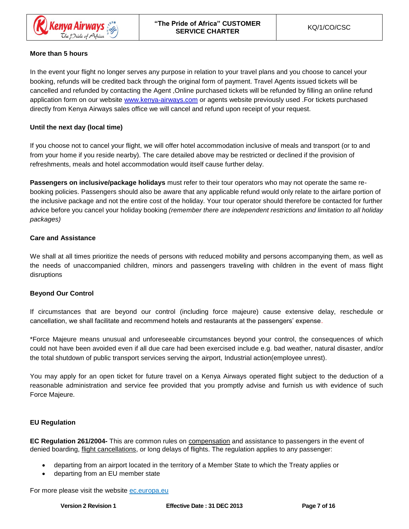

# **More than 5 hours**

In the event your flight no longer serves any purpose in relation to your travel plans and you choose to cancel your booking, refunds will be credited back through the original form of payment. Travel Agents issued tickets will be cancelled and refunded by contacting the Agent ,Online purchased tickets will be refunded by filling an online refund application form on our website [www.kenya-airways.com](http://www.kenya-airways.com/) or agents website previously used .For tickets purchased directly from Kenya Airways sales office we will cancel and refund upon receipt of your request.

# **Until the next day (local time)**

If you choose not to cancel your flight, we will offer hotel accommodation inclusive of meals and transport (or to and from your home if you reside nearby). The care detailed above may be restricted or declined if the provision of refreshments, meals and hotel accommodation would itself cause further delay.

**Passengers on inclusive/package holidays** must refer to their tour operators who may not operate the same rebooking policies. Passengers should also be aware that any applicable refund would only relate to the airfare portion of the inclusive package and not the entire cost of the holiday. Your tour operator should therefore be contacted for further advice before you cancel your holiday booking *(remember there are independent restrictions and limitation to all holiday packages)*

# **Care and Assistance**

We shall at all times prioritize the needs of persons with reduced mobility and persons accompanying them, as well as the needs of unaccompanied children, minors and passengers traveling with children in the event of mass flight disruptions

# **Beyond Our Control**

If circumstances that are beyond our control (including force majeure) cause extensive delay, reschedule or cancellation, we shall facilitate and recommend hotels and restaurants at the passengers' expense.

\*Force Majeure means unusual and unforeseeable circumstances beyond your control, the consequences of which could not have been avoided even if all due care had been exercised include e.g. bad weather, natural disaster, and/or the total shutdown of public transport services serving the airport, Industrial action(employee unrest).

You may apply for an open ticket for future travel on a Kenya Airways operated flight subject to the deduction of a reasonable administration and service fee provided that you promptly advise and furnish us with evidence of such Force Majeure.

# **EU Regulation**

**EC Regulation 261/2004-** This are common rules on [compensation](http://en.wikipedia.org/wiki/Damages) and assistance to passengers in the event of denied boarding, *flight cancellations*, or long delays of flights. The regulation applies to any passenger:

- departing from an airport located in the territory of a Member State to which the Treaty applies or
- departing from an EU member state

For more please visit the website ec.europa.eu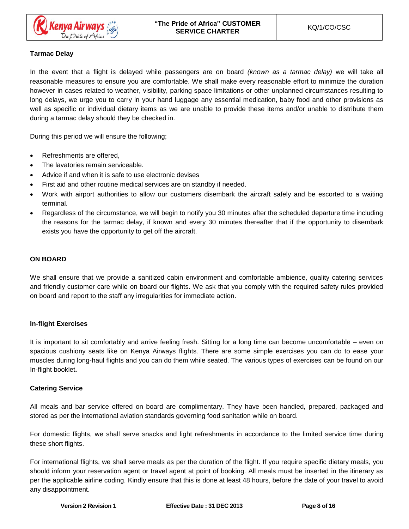# **Tarmac Delay**

In the event that a flight is delayed while passengers are on board *(known as a tarmac delay)* we will take all reasonable measures to ensure you are comfortable. We shall make every reasonable effort to minimize the duration however in cases related to weather, visibility, parking space limitations or other unplanned circumstances resulting to long delays, we urge you to carry in your hand luggage any essential medication, baby food and other provisions as well as specific or individual dietary items as we are unable to provide these items and/or unable to distribute them during a tarmac delay should they be checked in.

During this period we will ensure the following;

- Refreshments are offered,
- The lavatories remain serviceable.
- Advice if and when it is safe to use electronic devises
- First aid and other routine medical services are on standby if needed.
- Work with airport authorities to allow our customers disembark the aircraft safely and be escorted to a waiting terminal.
- Regardless of the circumstance, we will begin to notify you 30 minutes after the scheduled departure time including the reasons for the tarmac delay, if known and every 30 minutes thereafter that if the opportunity to disembark exists you have the opportunity to get off the aircraft.

## **ON BOARD**

We shall ensure that we provide a sanitized cabin environment and comfortable ambience, quality catering services and friendly customer care while on board our flights. We ask that you comply with the required safety rules provided on board and report to the staff any irregularities for immediate action.

#### **In-flight Exercises**

It is important to sit comfortably and arrive feeling fresh. Sitting for a long time can become uncomfortable – even on spacious cushiony seats like on Kenya Airways flights. There are some simple exercises you can do to ease your muscles during long-haul flights and you can do them while seated. The various types of exercises can be found on our In-flight booklet**.**

#### **Catering Service**

All meals and bar service offered on board are complimentary. They have been handled, prepared, packaged and stored as per the international aviation standards governing food sanitation while on board.

For domestic flights, we shall serve snacks and light refreshments in accordance to the limited service time during these short flights.

For international flights, we shall serve meals as per the duration of the flight. If you require specific dietary meals, you should inform your reservation agent or travel agent at point of booking. All meals must be inserted in the itinerary as per the applicable airline coding. Kindly ensure that this is done at least 48 hours, before the date of your travel to avoid any disappointment.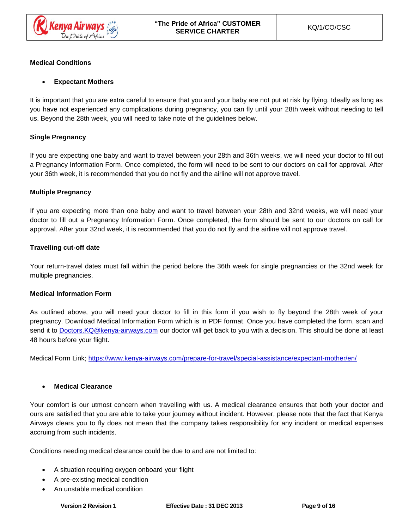

# **Medical Conditions**

# • **Expectant Mothers**

It is important that you are extra careful to ensure that you and your baby are not put at risk by flying. Ideally as long as you have not experienced any complications during pregnancy, you can fly until your 28th week without needing to tell us. Beyond the 28th week, you will need to take note of the guidelines below.

# **Single Pregnancy**

If you are expecting one baby and want to travel between your 28th and 36th weeks, we will need your doctor to fill out a Pregnancy Information Form. Once completed, the form will need to be sent to our doctors on call for approval. After your 36th week, it is recommended that you do not fly and the airline will not approve travel.

## **Multiple Pregnancy**

If you are expecting more than one baby and want to travel between your 28th and 32nd weeks, we will need your doctor to fill out a Pregnancy Information Form. Once completed, the form should be sent to our doctors on call for approval. After your 32nd week, it is recommended that you do not fly and the airline will not approve travel.

## **Travelling cut-off date**

Your return-travel dates must fall within the period before the 36th week for single pregnancies or the 32nd week for multiple pregnancies.

#### **Medical Information Form**

As outlined above, you will need your doctor to fill in this form if you wish to fly beyond the 28th week of your pregnancy. [Download Medical Information Form](http://www.virgin-atlantic.com/content/dam/VAA/Documents/Special%20Assistance/pregnancy_information_form.pdf) which is in PDF format. Once you have completed the form, scan and send it to Doctors. KQ@kenya-airways.com our doctor will get back to you with a decision. This should be done at least 48 hours before your flight.

Medical Form Link;<https://www.kenya-airways.com/prepare-for-travel/special-assistance/expectant-mother/en/>

#### • **Medical Clearance**

Your comfort is our utmost concern when travelling with us. A medical clearance ensures that both your doctor and ours are satisfied that you are able to take your journey without incident. However, please note that the fact that Kenya Airways clears you to fly does not mean that the company takes responsibility for any incident or medical expenses accruing from such incidents.

Conditions needing medical clearance could be due to and are not limited to:

- A situation requiring oxygen onboard your flight
- A pre-existing medical condition
- An unstable medical condition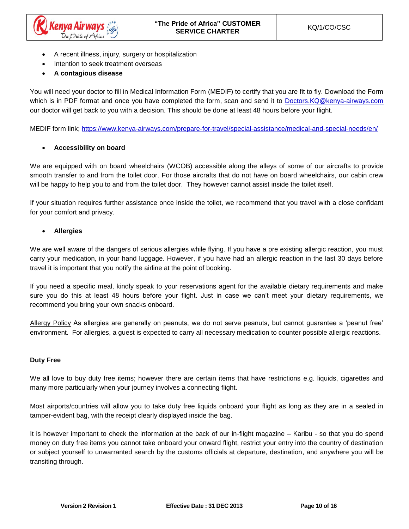

- A recent illness, injury, surgery or hospitalization
- Intention to seek treatment overseas
- **A contagious disease**

You will need your doctor to fill in Medical Information Form (MEDIF) to certify that you are fit to fly. [Download the Form](http://www.virgin-atlantic.com/content/dam/VAA/Documents/Special%20Assistance/pregnancy_information_form.pdf)  [which is in PDF format a](http://www.virgin-atlantic.com/content/dam/VAA/Documents/Special%20Assistance/pregnancy_information_form.pdf)nd once you have completed the form, scan and send it to [Doctors.KQ@kenya-airways.com](mailto:Doctors.KQ@kenya-airways.com) our doctor will get back to you with a decision. This should be done at least 48 hours before your flight.

MEDIF form link;<https://www.kenya-airways.com/prepare-for-travel/special-assistance/medical-and-special-needs/en/>

## • **Accessibility on board**

We are equipped with on board wheelchairs (WCOB) accessible along the alleys of some of our aircrafts to provide smooth transfer to and from the toilet door. For those aircrafts that do not have on board wheelchairs, our cabin crew will be happy to help you to and from the toilet door. They however cannot assist inside the toilet itself.

If your situation requires further assistance once inside the toilet, we recommend that you travel with a close confidant for your comfort and privacy.

## • **Allergies**

We are well aware of the dangers of serious allergies while flying. If you have a pre existing allergic reaction, you must carry your medication, in your hand luggage. However, if you have had an allergic reaction in the last 30 days before travel it is important that you notify the airline at the point of booking.

If you need a specific meal, kindly speak to your reservations agent for the available dietary requirements and make sure you do this at least 48 hours before your flight. Just in case we can't meet your dietary requirements, we recommend you bring your own snacks onboard.

Allergy Policy As allergies are generally on peanuts, we do not serve peanuts, but cannot guarantee a 'peanut free' environment. For allergies, a guest is expected to carry all necessary medication to counter possible allergic reactions.

#### **Duty Free**

We all love to buy duty free items; however there are certain items that have restrictions e.g. liquids, cigarettes and many more particularly when your journey involves a connecting flight.

Most airports/countries will allow you to take duty free liquids onboard your flight as long as they are in a sealed in tamper-evident bag, with the receipt clearly displayed inside the bag.

It is however important to check the information at the back of our in-flight magazine – Karibu - so that you do spend money on duty free items you cannot take onboard your onward flight, restrict your entry into the country of destination or subject yourself to unwarranted search by the customs officials at departure, destination, and anywhere you will be transiting through.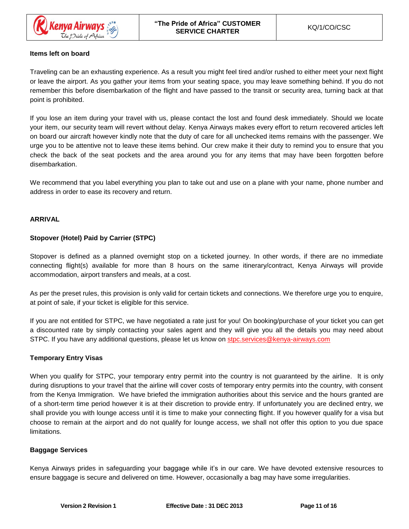

## **Items left on board**

Traveling can be an exhausting experience. As a result you might feel tired and/or rushed to either meet your next flight or leave the airport. As you gather your items from your seating space, you may leave something behind. If you do not remember this before disembarkation of the flight and have passed to the transit or security area, turning back at that point is prohibited.

If you lose an item during your travel with us, please contact the lost and found desk immediately. Should we locate your item, our security team will revert without delay. Kenya Airways makes every effort to return recovered articles left on board our aircraft however kindly note that the duty of care for all unchecked items remains with the passenger. We urge you to be attentive not to leave these items behind. Our crew make it their duty to remind you to ensure that you check the back of the seat pockets and the area around you for any items that may have been forgotten before disembarkation.

We recommend that you label everything you plan to take out and use on a plane with your name, phone number and address in order to ease its recovery and return.

## **ARRIVAL**

## **Stopover (Hotel) Paid by Carrier (STPC)**

Stopover is defined as a planned overnight stop on a ticketed journey. In other words, if there are no immediate connecting flight(s) available for more than 8 hours on the same itinerary/contract, Kenya Airways will provide accommodation, airport transfers and meals, at a cost.

As per the preset rules, this provision is only valid for certain tickets and connections. We therefore urge you to enquire, at point of sale, if your ticket is eligible for this service.

If you are not entitled for STPC, we have negotiated a rate just for you! On booking/purchase of your ticket you can get a discounted rate by simply contacting your sales agent and they will give you all the details you may need about STPC. If you have any additional questions, please let us know on [stpc.services@kenya-airways.com](mailto:stpc.services@kenya-airways.com)

#### **Temporary Entry Visas**

When you qualify for STPC, your temporary entry permit into the country is not guaranteed by the airline. It is only during disruptions to your travel that the airline will cover costs of temporary entry permits into the country, with consent from the Kenya Immigration. We have briefed the immigration authorities about this service and the hours granted are of a short-term time period however it is at their discretion to provide entry. If unfortunately you are declined entry, we shall provide you with lounge access until it is time to make your connecting flight. If you however qualify for a visa but choose to remain at the airport and do not qualify for lounge access, we shall not offer this option to you due space limitations.

#### **Baggage Services**

Kenya Airways prides in safeguarding your baggage while it's in our care. We have devoted extensive resources to ensure baggage is secure and delivered on time. However, occasionally a bag may have some irregularities.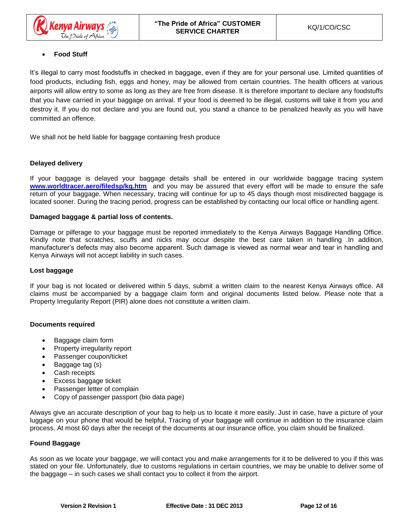# • **Food Stuff**

It's illegal to carry most foodstuffs in checked in baggage, even if they are for your personal use. Limited quantities of food products, including fish, eggs and honey, may be allowed from certain countries. The health officers at various airports will allow entry to some as long as they are free from disease. It is therefore important to declare any foodstuffs that you have carried in your baggage on arrival. If your food is deemed to be illegal, customs will take it from you and destroy it. If you do not declare and you are found out, you stand a chance to be penalized heavily as you will have committed an offence.

We shall not be held liable for baggage containing fresh produce

## **Delayed delivery**

If your baggage is delayed your baggage details shall be entered in our worldwide baggage tracing system [www.worldtracer.aero/filedsp/kq.htm](http://www.worldtracer.aero/filedsp/kq.htm) and you may be assured that every effort will be made to ensure the safe return of your baggage. When necessary, tracing will continue for up to 45 days though most misdirected baggage is located sooner. During the tracing period, progress can be established by contacting our local office or handling agent.

#### **Damaged baggage & partial loss of contents.**

Damage or pilferage to your baggage must be reported immediately to the Kenya Airways Baggage Handling Office. Kindly note that scratches, scuffs and nicks may occur despite the best care taken in handling .In addition, manufacturer's defects may also become apparent. Such damage is viewed as normal wear and tear in handling and Kenya Airways will not accept liability in such cases.

#### **Lost baggage**

If your bag is not located or delivered within 5 days, submit a written claim to the nearest Kenya Airways office. All claims must be accompanied by a baggage claim form and original documents listed below. Please note that a Property Irregularity Report (PIR) alone does not constitute a written claim.

#### **Documents required**

- Baggage claim form
- Property irregularity report
- Passenger coupon/ticket
- Baggage tag (s)
- Cash receipts
- Excess baggage ticket
- Passenger letter of complain
- Copy of passenger passport (bio data page)

Always give an accurate description of your bag to help us to locate it more easily. Just in case, have a picture of your luggage on your phone that would be helpful, Tracing of your baggage will continue in addition to the insurance claim process. At most 60 days after the receipt of the documents at our insurance office, you claim should be finalized.

#### **Found Baggage**

As soon as we locate your baggage, we will contact you and make arrangements for it to be delivered to you if this was stated on your file. Unfortunately, due to customs regulations in certain countries, we may be unable to deliver some of the baggage – in such cases we shall contact you to collect it from the airport.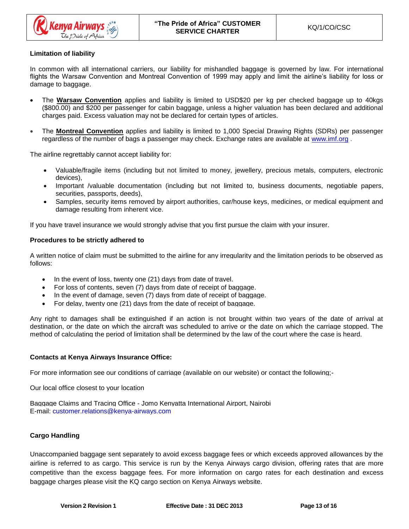

## **Limitation of liability**

In common with all international carriers, our liability for mishandled baggage is governed by law. For international flights the Warsaw Convention and Montreal Convention of 1999 may apply and limit the airline's liability for loss or damage to baggage.

- The **Warsaw Convention** applies and liability is limited to USD\$20 per kg per checked baggage up to 40kgs (\$800.00) and \$200 per passenger for cabin baggage, unless a higher valuation has been declared and additional charges paid. Excess valuation may not be declared for certain types of articles.
- The **Montreal Convention** applies and liability is limited to 1,000 Special Drawing Rights (SDRs) per passenger regardless of the number of bags a passenger may check. Exchange rates are available at [www.imf.org](http://www.imf.org/) .

The airline regrettably cannot accept liability for:

- Valuable/fragile items (including but not limited to money, jewellery, precious metals, computers, electronic devices),
- Important /valuable documentation (including but not limited to, business documents, negotiable papers, securities, passports, deeds),
- Samples, security items removed by airport authorities, car/house keys, medicines, or medical equipment and damage resulting from inherent vice.

If you have travel insurance we would strongly advise that you first pursue the claim with your insurer.

#### **Procedures to be strictly adhered to**

A written notice of claim must be submitted to the airline for any irregularity and the limitation periods to be observed as follows:

- In the event of loss, twenty one (21) days from date of travel.
- For loss of contents, seven (7) days from date of receipt of baggage.
- In the event of damage, seven (7) days from date of receipt of baggage.
- For delay, twenty one (21) days from the date of receipt of baggage.

Any right to damages shall be extinguished if an action is not brought within two years of the date of arrival at destination, or the date on which the aircraft was scheduled to arrive or the date on which the carriage stopped. The method of calculating the period of limitation shall be determined by the law of the court where the case is heard.

#### **Contacts at Kenya Airways Insurance Office:**

For more information see our conditions of carriage (available on our website) or contact the following;-

Our local office closest to your location

Baggage Claims and Tracing Office - Jomo Kenyatta International Airport, Nairobi E-mail: [customer.relations@kenya-airways.com](mailto:customer.relations@kenya-airways.com)

#### **Cargo Handling**

Unaccompanied baggage sent separately to avoid excess baggage fees or which exceeds approved allowances by the airline is referred to as cargo. This service is run by the Kenya Airways cargo division, offering rates that are more competitive than the excess baggage fees. For more information on cargo rates for each destination and excess baggage charges please visit the KQ cargo section on Kenya Airways website.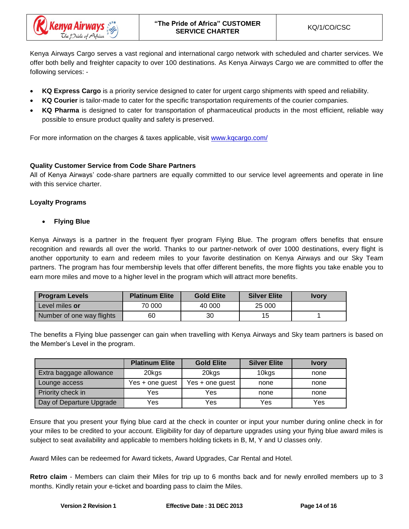

Kenya Airways Cargo serves a vast regional and international cargo network with scheduled and charter services. We offer both belly and freighter capacity to over 100 destinations. As Kenya Airways Cargo we are committed to offer the following services: -

- **KQ Express Cargo** is a priority service designed to cater for urgent cargo shipments with speed and reliability.
- **KQ Courier** is tailor-made to cater for the specific transportation requirements of the courier companies.
- **KQ Pharma** is designed to cater for transportation of pharmaceutical products in the most efficient, reliable way possible to ensure product quality and safety is preserved.

For more information on the charges & taxes applicable, visit [www.kqcargo.com/](http://www.kqcargo.com/)

# **Quality Customer Service from Code Share Partners**

All of Kenya Airways' code-share partners are equally committed to our service level agreements and operate in line with this service charter.

# **Loyalty Programs**

• **Flying Blue**

Kenya Airways is a partner in the frequent flyer program Flying Blue. The program offers benefits that ensure recognition and rewards all over the world. Thanks to our partner-network of over 1000 destinations, every flight is another opportunity to earn and redeem miles to your favorite destination on Kenya Airways and our Sky Team partners. The program has four membership levels that offer different benefits, the more flights you take enable you to earn more miles and move to a higher level in the program which will attract more benefits.

| <b>Program Levels</b>     | <b>Platinum Elite</b> | <b>Gold Elite</b> | <b>Silver Elite</b> | <b>Ivory</b> |
|---------------------------|-----------------------|-------------------|---------------------|--------------|
| Level miles or            | 70 000                | 40 000            | 25 000              |              |
| Number of one way flights | 60                    | 30                | 15                  |              |

The benefits a Flying blue passenger can gain when travelling with Kenya Airways and Sky team partners is based on the Member's Level in the program.

|                          | <b>Platinum Elite</b> | <b>Gold Elite</b> | <b>Silver Elite</b> | <b>Ivory</b> |
|--------------------------|-----------------------|-------------------|---------------------|--------------|
| Extra baggage allowance  | 20kgs                 | 20kgs             | 10 <sub>kgs</sub>   | none         |
| Lounge access            | $Yes + one quest$     | Yes + one guest   | none                | none         |
| Priority check in        | Yes                   | Yes               | none                | none         |
| Day of Departure Upgrade | Yes                   | Yes               | Yes                 | Yes          |

Ensure that you present your flying blue card at the check in counter or input your number during online check in for your miles to be credited to your account. Eligibility for day of departure upgrades using your flying blue award miles is subject to seat availability and applicable to members holding tickets in B, M, Y and U classes only.

Award Miles can be redeemed for Award tickets, Award Upgrades, Car Rental and Hotel.

**Retro claim** - Members can claim their Miles for trip up to 6 months back and for newly enrolled members up to 3 months. Kindly retain your e-ticket and boarding pass to claim the Miles.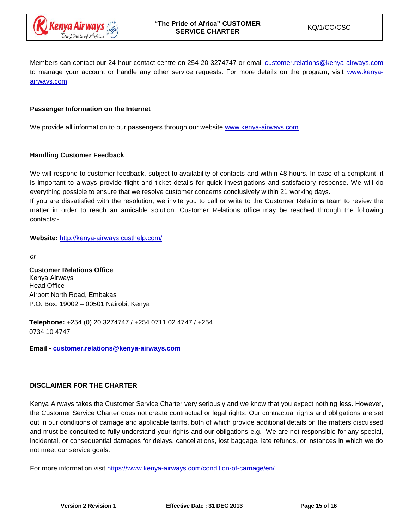

Members can contact our 24-hour contact centre on 254-20-3274747 or email [customer.relations@kenya-airways.com](mailto:customer.relations@kenya-airways.com) to manage your account or handle any other service requests. For more details on the program, visit [www.kenya](http://www.kenya-airways.com/)[airways.com](http://www.kenya-airways.com/)

## **Passenger Information on the Internet**

We provide all information to our passengers through our website [www.kenya-airways.com](http://www.kenya-airways.com/)

#### **Handling Customer Feedback**

We will respond to customer feedback, subject to availability of contacts and within 48 hours. In case of a complaint, it is important to always provide flight and ticket details for quick investigations and satisfactory response. We will do everything possible to ensure that we resolve customer concerns conclusively within 21 working days.

If you are dissatisfied with the resolution, we invite you to call or write to the Customer Relations team to review the matter in order to reach an amicable solution. Customer Relations office may be reached through the following contacts:-

**Website:** <http://kenya-airways.custhelp.com/>

*or*

**Customer Relations Office** Kenya Airways Head Office Airport North Road, Embakasi P.O. Box: 19002 – 00501 Nairobi, Kenya

**Telephone:** +254 (0) 20 3274747 / +254 0711 02 4747 / +254 0734 10 4747

**Email - [customer.relations@kenya-airways.com](mailto:customer.relations@kenya-airways.com)**

# **DISCLAIMER FOR THE CHARTER**

Kenya Airways takes the Customer Service Charter very seriously and we know that you expect nothing less. However, the Customer Service Charter does not create contractual or legal rights. Our contractual rights and obligations are set out in our conditions of carriage and applicable tariffs, both of which provide additional details on the matters discussed and must be consulted to fully understand your rights and our obligations e.g. We are not responsible for any special, incidental, or consequential damages for delays, cancellations, lost baggage, late refunds, or instances in which we do not meet our service goals.

For more information visit<https://www.kenya-airways.com/condition-of-carriage/en/>